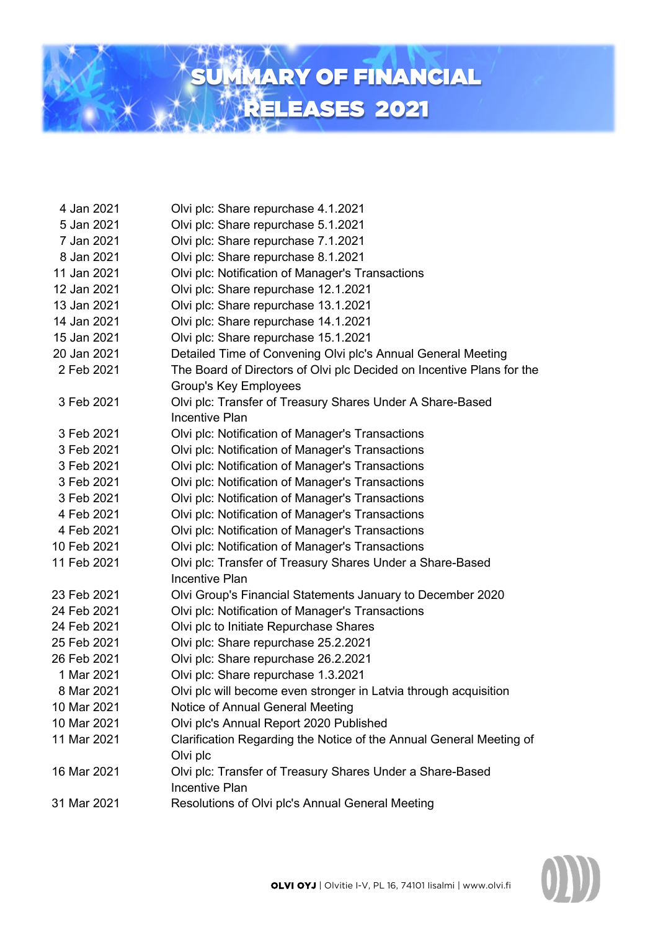

- Jan 2021 Olvi plc: Share repurchase 4.1.2021
- Jan 2021 Olvi plc: Share repurchase 5.1.2021
- Jan 2021 Olvi plc: Share repurchase 7.1.2021
- 8 Jan 2021 Olvi plc: Share repurchase 8.1.2021
- Jan 2021 Olvi plc: Notification of Manager's Transactions
- Jan 2021 Olvi plc: Share repurchase 12.1.2021
- Jan 2021 Olvi plc: Share repurchase 13.1.2021
- Jan 2021 Olvi plc: Share repurchase 14.1.2021
- Jan 2021 Olvi plc: Share repurchase 15.1.2021
- Jan 2021 Detailed Time of Convening Olvi plc's Annual General Meeting
- Feb 2021 The Board of Directors of Olvi plc Decided on Incentive Plans for the Group's Key Employees
- Feb 2021 Olvi plc: Transfer of Treasury Shares Under A Share-Based Incentive Plan
- Feb 2021 Olvi plc: Notification of Manager's Transactions
- Feb 2021 Olvi plc: Notification of Manager's Transactions
- Feb 2021 Olvi plc: Notification of Manager's Transactions
- Feb 2021 Olvi plc: Notification of Manager's Transactions
- Feb 2021 Olvi plc: Notification of Manager's Transactions
- Feb 2021 Olvi plc: Notification of Manager's Transactions
- Feb 2021 Olvi plc: Notification of Manager's Transactions
- Feb 2021 Olvi plc: Notification of Manager's Transactions
- Feb 2021 Olvi plc: Transfer of Treasury Shares Under a Share-Based Incentive Plan
- Feb 2021 Olvi Group's Financial Statements January to December 2020
- Feb 2021 Olvi plc: Notification of Manager's Transactions
- Feb 2021 Olvi plc to Initiate Repurchase Shares
- Feb 2021 Olvi plc: Share repurchase 25.2.2021
- Feb 2021 Olvi plc: Share repurchase 26.2.2021
- Mar 2021 Olvi plc: Share repurchase 1.3.2021
- Mar 2021 Olvi plc will become even stronger in Latvia through acquisition
- Mar 2021 Notice of Annual General Meeting
- Mar 2021 Olvi plc's Annual Report 2020 Published
- Mar 2021 Clarification Regarding the Notice of the Annual General Meeting of Olvi plc
- Mar 2021 Olvi plc: Transfer of Treasury Shares Under a Share-Based Incentive Plan
- Mar 2021 Resolutions of Olvi plc's Annual General Meeting